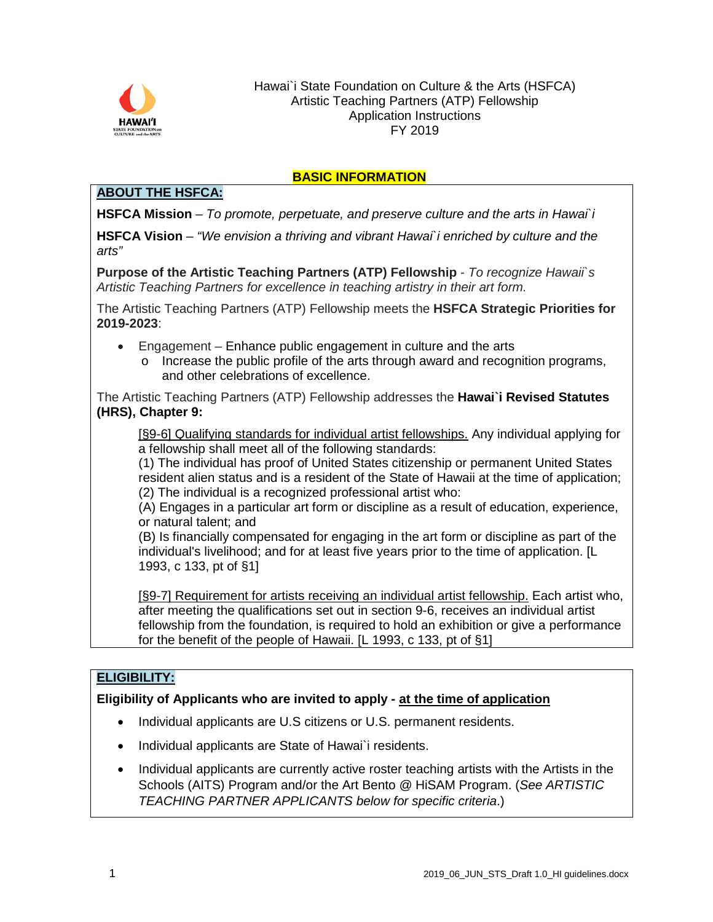

### **BASIC INFORMATION**

# **ABOUT THE HSFCA:**

**HSFCA Mission** – *To promote, perpetuate, and preserve culture and the arts in Hawai`i*

**HSFCA Vision** – *"We envision a thriving and vibrant Hawai`i enriched by culture and the arts"*

**Purpose of the Artistic Teaching Partners (ATP) Fellowship** - *To recognize Hawaii`s Artistic Teaching Partners for excellence in teaching artistry in their art form.*

The Artistic Teaching Partners (ATP) Fellowship meets the **HSFCA Strategic Priorities for 2019-2023**:

- Engagement Enhance public engagement in culture and the arts
	- o Increase the public profile of the arts through award and recognition programs, and other celebrations of excellence.

The Artistic Teaching Partners (ATP) Fellowship addresses the **Hawai`i Revised Statutes (HRS), Chapter 9:**

[§9-6] Qualifying standards for individual artist fellowships. Any individual applying for a fellowship shall meet all of the following standards:

(1) The individual has proof of United States citizenship or permanent United States resident alien status and is a resident of the State of Hawaii at the time of application; (2) The individual is a recognized professional artist who:

(A) Engages in a particular art form or discipline as a result of education, experience, or natural talent; and

(B) Is financially compensated for engaging in the art form or discipline as part of the individual's livelihood; and for at least five years prior to the time of application. [L 1993, c 133, pt of §1]

[§9-7] Requirement for artists receiving an individual artist fellowship. Each artist who, after meeting the qualifications set out in section 9-6, receives an individual artist fellowship from the foundation, is required to hold an exhibition or give a performance for the benefit of the people of Hawaii. [L 1993, c 133, pt of §1]

# **ELIGIBILITY:**

# **Eligibility of Applicants who are invited to apply - at the time of application**

- Individual applicants are U.S citizens or U.S. permanent residents.
- Individual applicants are State of Hawai`i residents.
- Individual applicants are currently active roster teaching artists with the Artists in the Schools (AITS) Program and/or the Art Bento @ HiSAM Program. (*See ARTISTIC TEACHING PARTNER APPLICANTS below for specific criteria*.)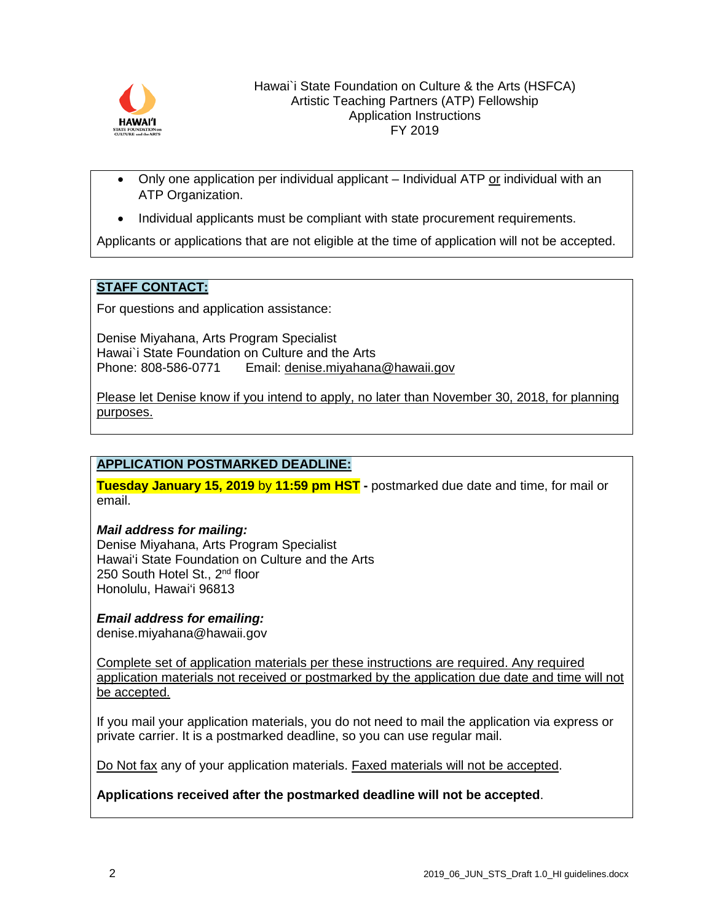

- Only one application per individual applicant  $-$  Individual ATP or individual with an ATP Organization.
- Individual applicants must be compliant with state procurement requirements.

Applicants or applications that are not eligible at the time of application will not be accepted.

## **STAFF CONTACT:**

For questions and application assistance:

Denise Miyahana, Arts Program Specialist Hawai`i State Foundation on Culture and the Arts<br>Phone: 808-586-0771 Email: denise mivahana Email: [denise.miyahana@hawaii.gov](mailto:vivien.lee@hawaii.gov)

Please let Denise know if you intend to apply, no later than November 30, 2018, for planning purposes.

# **APPLICATION POSTMARKED DEADLINE:**

**Tuesday January 15, 2019** by **11:59 pm HST -** postmarked due date and time, for mail or email.

#### *Mail address for mailing:*

Denise Miyahana, Arts Program Specialist Hawai'i State Foundation on Culture and the Arts 250 South Hotel St., 2<sup>nd</sup> floor Honolulu, Hawai'i 96813

#### *Email address for emailing:*

denise.miyahana@hawaii.gov

Complete set of application materials per these instructions are required. Any required application materials not received or postmarked by the application due date and time will not be accepted.

If you mail your application materials, you do not need to mail the application via express or private carrier. It is a postmarked deadline, so you can use regular mail.

Do Not fax any of your application materials. Faxed materials will not be accepted.

**Applications received after the postmarked deadline will not be accepted**.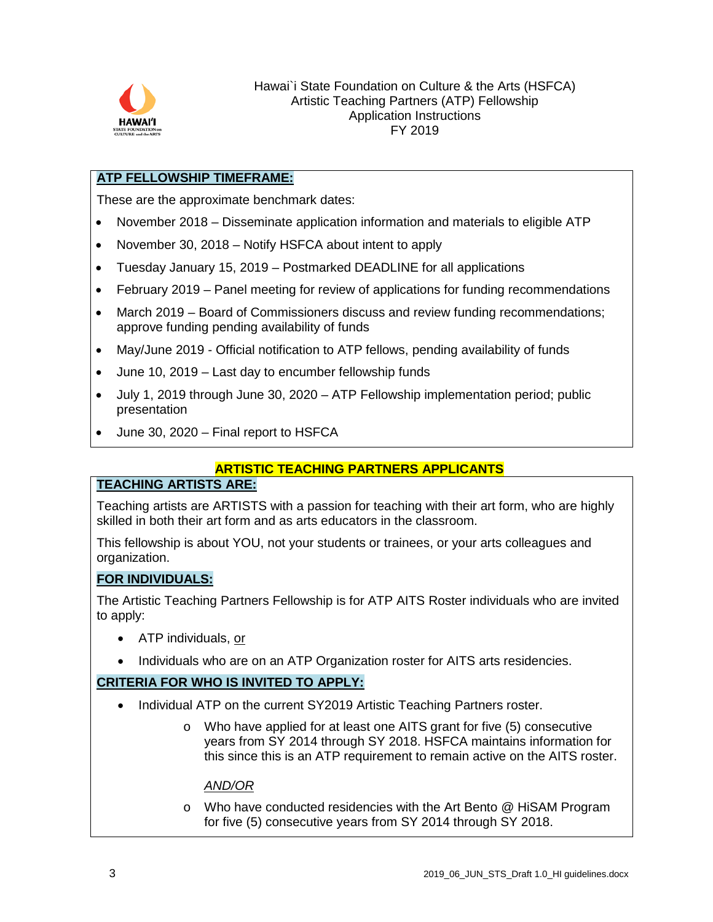

## **ATP FELLOWSHIP TIMEFRAME:**

These are the approximate benchmark dates:

- November 2018 Disseminate application information and materials to eligible ATP
- November 30, 2018 Notify HSFCA about intent to apply
- Tuesday January 15, 2019 Postmarked DEADLINE for all applications
- February 2019 Panel meeting for review of applications for funding recommendations
- March 2019 Board of Commissioners discuss and review funding recommendations; approve funding pending availability of funds
- May/June 2019 Official notification to ATP fellows, pending availability of funds
- June 10, 2019 Last day to encumber fellowship funds
- July 1, 2019 through June 30, 2020 ATP Fellowship implementation period; public presentation
- June 30, 2020 Final report to HSFCA

#### **ARTISTIC TEACHING PARTNERS APPLICANTS**

### **TEACHING ARTISTS ARE:**

Teaching artists are ARTISTS with a passion for teaching with their art form, who are highly skilled in both their art form and as arts educators in the classroom.

This fellowship is about YOU, not your students or trainees, or your arts colleagues and organization.

#### **FOR INDIVIDUALS:**

The Artistic Teaching Partners Fellowship is for ATP AITS Roster individuals who are invited to apply:

- ATP individuals, or
- Individuals who are on an ATP Organization roster for AITS arts residencies.

#### **CRITERIA FOR WHO IS INVITED TO APPLY:**

- Individual ATP on the current SY2019 Artistic Teaching Partners roster.
	- o Who have applied for at least one AITS grant for five (5) consecutive years from SY 2014 through SY 2018. HSFCA maintains information for this since this is an ATP requirement to remain active on the AITS roster.

#### *AND/OR*

o Who have conducted residencies with the Art Bento @ HiSAM Program for five (5) consecutive years from SY 2014 through SY 2018.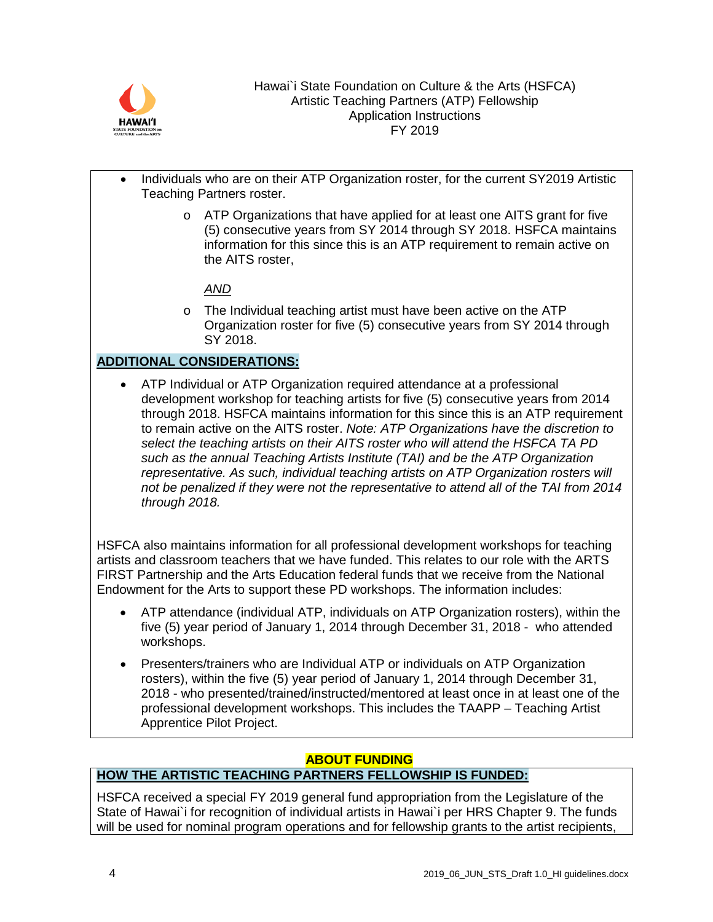

- Individuals who are on their ATP Organization roster, for the current SY2019 Artistic Teaching Partners roster.
	- o ATP Organizations that have applied for at least one AITS grant for five (5) consecutive years from SY 2014 through SY 2018. HSFCA maintains information for this since this is an ATP requirement to remain active on the AITS roster,

# *AND*

o The Individual teaching artist must have been active on the ATP Organization roster for five (5) consecutive years from SY 2014 through SY 2018.

# **ADDITIONAL CONSIDERATIONS:**

• ATP Individual or ATP Organization required attendance at a professional development workshop for teaching artists for five (5) consecutive years from 2014 through 2018. HSFCA maintains information for this since this is an ATP requirement to remain active on the AITS roster. *Note: ATP Organizations have the discretion to select the teaching artists on their AITS roster who will attend the HSFCA TA PD such as the annual Teaching Artists Institute (TAI) and be the ATP Organization representative. As such, individual teaching artists on ATP Organization rosters will not be penalized if they were not the representative to attend all of the TAI from 2014 through 2018.*

HSFCA also maintains information for all professional development workshops for teaching artists and classroom teachers that we have funded. This relates to our role with the ARTS FIRST Partnership and the Arts Education federal funds that we receive from the National Endowment for the Arts to support these PD workshops. The information includes:

- ATP attendance (individual ATP, individuals on ATP Organization rosters), within the five (5) year period of January 1, 2014 through December 31, 2018 - who attended workshops.
- Presenters/trainers who are Individual ATP or individuals on ATP Organization rosters), within the five (5) year period of January 1, 2014 through December 31, 2018 - who presented/trained/instructed/mentored at least once in at least one of the professional development workshops. This includes the TAAPP – Teaching Artist Apprentice Pilot Project.

# **ABOUT FUNDING**

# **HOW THE ARTISTIC TEACHING PARTNERS FELLOWSHIP IS FUNDED:**

HSFCA received a special FY 2019 general fund appropriation from the Legislature of the State of Hawai`i for recognition of individual artists in Hawai`i per HRS Chapter 9. The funds will be used for nominal program operations and for fellowship grants to the artist recipients,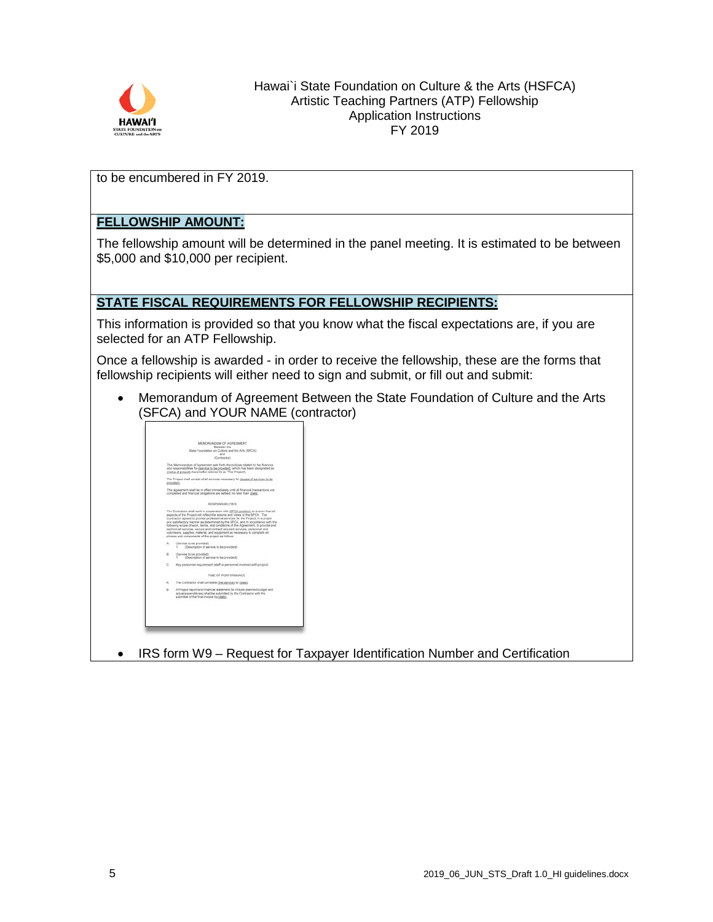

to be encumbered in FY 2019.

# **FELLOWSHIP AMOUNT:**

The fellowship amount will be determined in the panel meeting. It is estimated to be between \$5,000 and \$10,000 per recipient.

### **STATE FISCAL REQUIREMENTS FOR FELLOWSHIP RECIPIENTS:**

This information is provided so that you know what the fiscal expectations are, if you are selected for an ATP Fellowship.

Once a fellowship is awarded - in order to receive the fellowship, these are the forms that fellowship recipients will either need to sign and submit, or fill out and submit:

• Memorandum of Agreement Between the State Foundation of Culture and the Arts (SFCA) and YOUR NAME (contractor)



• IRS form W9 – Request for Taxpayer Identification Number and Certification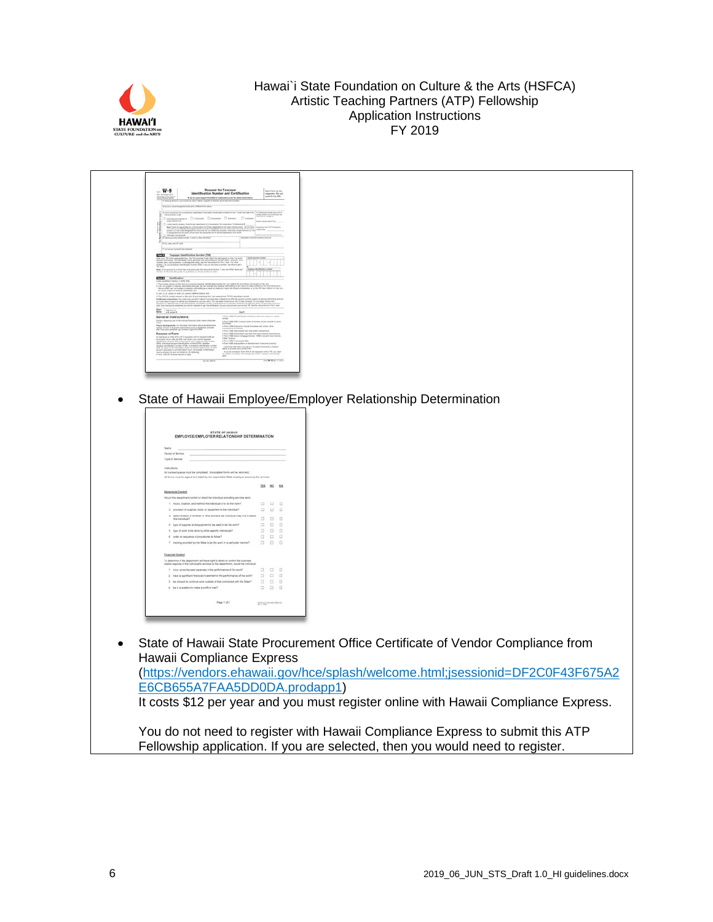

| $W-9$<br>Request for Taxpayer<br>Identification Number and Certification<br>. Go is over its profilement for extractions and the television. The contraction<br>Children prochoosed published Tablett Col. (1974)<br>Management Collective Detection Discover Character<br>that the de conciliance of all community. And any other the former of the second state of the second state of<br>the form of the second state of the second state of the second state of the second state of the second state o<br>t<br>One base introduced at an a subset of the introduced<br>City and an IV are<br>Bake 1 Its account 2 in three fact you want, and the materialism by the 1, they was this inject and   Employs blockholded mother<br><b>CELL</b> Certification<br>Look profits of project (with the<br>ment of weiched property, certaintent of debt, color Bushore II, an influituer retrainent arrangement<br>Avoidance, pou are not required to sign the continental, tud you must provide plur (corrent TIN) fixe<br>Spr. Income<br>$\pi$ year of<br>the logarithmic in it is the majorator with a TPC year that an<br>good in notation and with many direction in the following correst<br>and<br>the William com-<br>State of Hawaii Employee/Employer Relationship Determination<br>STATE OF HAWAI EMPLOYEE/EMPLOYER RELATIONSHIP DETERMINATION<br>Name<br>Pariod of Service:<br>Type of Service<br>.<br>Al marked apaces must be completed. (Incomplete forms will be returned.)<br>Al forms must be agread and dated by the responsible Diale employee acquiring the services.<br>333 52 55<br>build the department control or direct the institution providing services as to<br>t. hun, loake, ed nefod fie ndietal is to the world.<br>$\begin{array}{ccc} \square & \square & \square & \square \\ \square & \square & \square & \square \end{array}$ 2. povietn of apples, took at equipments fie individual!<br>3. determination of whether or what workers the individual may have to sensit $\Box \qquad \Box \qquad \Box$<br>$\begin{array}{cccc} \text{N} & \text{non-} \text{C} & \text{non-} \text{C} & \text{non-} \text{C} & \text{N} & \text{N} & \text{N} & \text{N} & \text{N} & \text{N} \\ \text{N} & \text{N} & \text{N} & \text{N} & \text{N} & \text{N} & \text{N} & \text{N} & \text{N} & \text{N} & \text{N} & \text{N} & \text{N} & \text{N} \\ \text{N} & \text{N} & \text{N} & \text{N} & \text{N} & \text{N} & \text{N} & \text{N} & \text{$<br><b>Finanzial Control</b><br>atemine if the department will have right to direct or continuit the business<br>ad aspects of the individual's services to the department, would the individual<br>1. Your unversions<br>of experies in the performance of the section $\Box$<br>$\Box \qquad \Box \qquad \Box$<br>$\Box$<br>Fasci w dome a main school a skill<br>$\label{eq:opt1} \text{graph 1 of 2} \qquad \qquad \text{with dimensionless}$ |  |
|------------------------------------------------------------------------------------------------------------------------------------------------------------------------------------------------------------------------------------------------------------------------------------------------------------------------------------------------------------------------------------------------------------------------------------------------------------------------------------------------------------------------------------------------------------------------------------------------------------------------------------------------------------------------------------------------------------------------------------------------------------------------------------------------------------------------------------------------------------------------------------------------------------------------------------------------------------------------------------------------------------------------------------------------------------------------------------------------------------------------------------------------------------------------------------------------------------------------------------------------------------------------------------------------------------------------------------------------------------------------------------------------------------------------------------------------------------------------------------------------------------------------------------------------------------------------------------------------------------------------------------------------------------------------------------------------------------------------------------------------------------------------------------------------------------------------------------------------------------------------------------------------------------------------------------------------------------------------------------------------------------------------------------------------------------------------------------------------------------------------------------------------------------------------------------------------------------------------------------------------------------------------------------------------------------------------------------------------------------------------------------------------------------------------------------------------------------------------------------------------------------------------------------------------------------------------------------------------------------------------------------------------------------------------------------------------------------------------------------------------------------------------------------------------------------------------------------------------------------------------------------------------------------------------------------|--|
|                                                                                                                                                                                                                                                                                                                                                                                                                                                                                                                                                                                                                                                                                                                                                                                                                                                                                                                                                                                                                                                                                                                                                                                                                                                                                                                                                                                                                                                                                                                                                                                                                                                                                                                                                                                                                                                                                                                                                                                                                                                                                                                                                                                                                                                                                                                                                                                                                                                                                                                                                                                                                                                                                                                                                                                                                                                                                                                                    |  |
|                                                                                                                                                                                                                                                                                                                                                                                                                                                                                                                                                                                                                                                                                                                                                                                                                                                                                                                                                                                                                                                                                                                                                                                                                                                                                                                                                                                                                                                                                                                                                                                                                                                                                                                                                                                                                                                                                                                                                                                                                                                                                                                                                                                                                                                                                                                                                                                                                                                                                                                                                                                                                                                                                                                                                                                                                                                                                                                                    |  |
|                                                                                                                                                                                                                                                                                                                                                                                                                                                                                                                                                                                                                                                                                                                                                                                                                                                                                                                                                                                                                                                                                                                                                                                                                                                                                                                                                                                                                                                                                                                                                                                                                                                                                                                                                                                                                                                                                                                                                                                                                                                                                                                                                                                                                                                                                                                                                                                                                                                                                                                                                                                                                                                                                                                                                                                                                                                                                                                                    |  |
|                                                                                                                                                                                                                                                                                                                                                                                                                                                                                                                                                                                                                                                                                                                                                                                                                                                                                                                                                                                                                                                                                                                                                                                                                                                                                                                                                                                                                                                                                                                                                                                                                                                                                                                                                                                                                                                                                                                                                                                                                                                                                                                                                                                                                                                                                                                                                                                                                                                                                                                                                                                                                                                                                                                                                                                                                                                                                                                                    |  |
|                                                                                                                                                                                                                                                                                                                                                                                                                                                                                                                                                                                                                                                                                                                                                                                                                                                                                                                                                                                                                                                                                                                                                                                                                                                                                                                                                                                                                                                                                                                                                                                                                                                                                                                                                                                                                                                                                                                                                                                                                                                                                                                                                                                                                                                                                                                                                                                                                                                                                                                                                                                                                                                                                                                                                                                                                                                                                                                                    |  |
|                                                                                                                                                                                                                                                                                                                                                                                                                                                                                                                                                                                                                                                                                                                                                                                                                                                                                                                                                                                                                                                                                                                                                                                                                                                                                                                                                                                                                                                                                                                                                                                                                                                                                                                                                                                                                                                                                                                                                                                                                                                                                                                                                                                                                                                                                                                                                                                                                                                                                                                                                                                                                                                                                                                                                                                                                                                                                                                                    |  |
|                                                                                                                                                                                                                                                                                                                                                                                                                                                                                                                                                                                                                                                                                                                                                                                                                                                                                                                                                                                                                                                                                                                                                                                                                                                                                                                                                                                                                                                                                                                                                                                                                                                                                                                                                                                                                                                                                                                                                                                                                                                                                                                                                                                                                                                                                                                                                                                                                                                                                                                                                                                                                                                                                                                                                                                                                                                                                                                                    |  |
|                                                                                                                                                                                                                                                                                                                                                                                                                                                                                                                                                                                                                                                                                                                                                                                                                                                                                                                                                                                                                                                                                                                                                                                                                                                                                                                                                                                                                                                                                                                                                                                                                                                                                                                                                                                                                                                                                                                                                                                                                                                                                                                                                                                                                                                                                                                                                                                                                                                                                                                                                                                                                                                                                                                                                                                                                                                                                                                                    |  |
|                                                                                                                                                                                                                                                                                                                                                                                                                                                                                                                                                                                                                                                                                                                                                                                                                                                                                                                                                                                                                                                                                                                                                                                                                                                                                                                                                                                                                                                                                                                                                                                                                                                                                                                                                                                                                                                                                                                                                                                                                                                                                                                                                                                                                                                                                                                                                                                                                                                                                                                                                                                                                                                                                                                                                                                                                                                                                                                                    |  |
|                                                                                                                                                                                                                                                                                                                                                                                                                                                                                                                                                                                                                                                                                                                                                                                                                                                                                                                                                                                                                                                                                                                                                                                                                                                                                                                                                                                                                                                                                                                                                                                                                                                                                                                                                                                                                                                                                                                                                                                                                                                                                                                                                                                                                                                                                                                                                                                                                                                                                                                                                                                                                                                                                                                                                                                                                                                                                                                                    |  |
|                                                                                                                                                                                                                                                                                                                                                                                                                                                                                                                                                                                                                                                                                                                                                                                                                                                                                                                                                                                                                                                                                                                                                                                                                                                                                                                                                                                                                                                                                                                                                                                                                                                                                                                                                                                                                                                                                                                                                                                                                                                                                                                                                                                                                                                                                                                                                                                                                                                                                                                                                                                                                                                                                                                                                                                                                                                                                                                                    |  |
|                                                                                                                                                                                                                                                                                                                                                                                                                                                                                                                                                                                                                                                                                                                                                                                                                                                                                                                                                                                                                                                                                                                                                                                                                                                                                                                                                                                                                                                                                                                                                                                                                                                                                                                                                                                                                                                                                                                                                                                                                                                                                                                                                                                                                                                                                                                                                                                                                                                                                                                                                                                                                                                                                                                                                                                                                                                                                                                                    |  |
|                                                                                                                                                                                                                                                                                                                                                                                                                                                                                                                                                                                                                                                                                                                                                                                                                                                                                                                                                                                                                                                                                                                                                                                                                                                                                                                                                                                                                                                                                                                                                                                                                                                                                                                                                                                                                                                                                                                                                                                                                                                                                                                                                                                                                                                                                                                                                                                                                                                                                                                                                                                                                                                                                                                                                                                                                                                                                                                                    |  |
|                                                                                                                                                                                                                                                                                                                                                                                                                                                                                                                                                                                                                                                                                                                                                                                                                                                                                                                                                                                                                                                                                                                                                                                                                                                                                                                                                                                                                                                                                                                                                                                                                                                                                                                                                                                                                                                                                                                                                                                                                                                                                                                                                                                                                                                                                                                                                                                                                                                                                                                                                                                                                                                                                                                                                                                                                                                                                                                                    |  |
|                                                                                                                                                                                                                                                                                                                                                                                                                                                                                                                                                                                                                                                                                                                                                                                                                                                                                                                                                                                                                                                                                                                                                                                                                                                                                                                                                                                                                                                                                                                                                                                                                                                                                                                                                                                                                                                                                                                                                                                                                                                                                                                                                                                                                                                                                                                                                                                                                                                                                                                                                                                                                                                                                                                                                                                                                                                                                                                                    |  |
|                                                                                                                                                                                                                                                                                                                                                                                                                                                                                                                                                                                                                                                                                                                                                                                                                                                                                                                                                                                                                                                                                                                                                                                                                                                                                                                                                                                                                                                                                                                                                                                                                                                                                                                                                                                                                                                                                                                                                                                                                                                                                                                                                                                                                                                                                                                                                                                                                                                                                                                                                                                                                                                                                                                                                                                                                                                                                                                                    |  |
|                                                                                                                                                                                                                                                                                                                                                                                                                                                                                                                                                                                                                                                                                                                                                                                                                                                                                                                                                                                                                                                                                                                                                                                                                                                                                                                                                                                                                                                                                                                                                                                                                                                                                                                                                                                                                                                                                                                                                                                                                                                                                                                                                                                                                                                                                                                                                                                                                                                                                                                                                                                                                                                                                                                                                                                                                                                                                                                                    |  |
|                                                                                                                                                                                                                                                                                                                                                                                                                                                                                                                                                                                                                                                                                                                                                                                                                                                                                                                                                                                                                                                                                                                                                                                                                                                                                                                                                                                                                                                                                                                                                                                                                                                                                                                                                                                                                                                                                                                                                                                                                                                                                                                                                                                                                                                                                                                                                                                                                                                                                                                                                                                                                                                                                                                                                                                                                                                                                                                                    |  |
|                                                                                                                                                                                                                                                                                                                                                                                                                                                                                                                                                                                                                                                                                                                                                                                                                                                                                                                                                                                                                                                                                                                                                                                                                                                                                                                                                                                                                                                                                                                                                                                                                                                                                                                                                                                                                                                                                                                                                                                                                                                                                                                                                                                                                                                                                                                                                                                                                                                                                                                                                                                                                                                                                                                                                                                                                                                                                                                                    |  |
|                                                                                                                                                                                                                                                                                                                                                                                                                                                                                                                                                                                                                                                                                                                                                                                                                                                                                                                                                                                                                                                                                                                                                                                                                                                                                                                                                                                                                                                                                                                                                                                                                                                                                                                                                                                                                                                                                                                                                                                                                                                                                                                                                                                                                                                                                                                                                                                                                                                                                                                                                                                                                                                                                                                                                                                                                                                                                                                                    |  |
|                                                                                                                                                                                                                                                                                                                                                                                                                                                                                                                                                                                                                                                                                                                                                                                                                                                                                                                                                                                                                                                                                                                                                                                                                                                                                                                                                                                                                                                                                                                                                                                                                                                                                                                                                                                                                                                                                                                                                                                                                                                                                                                                                                                                                                                                                                                                                                                                                                                                                                                                                                                                                                                                                                                                                                                                                                                                                                                                    |  |
|                                                                                                                                                                                                                                                                                                                                                                                                                                                                                                                                                                                                                                                                                                                                                                                                                                                                                                                                                                                                                                                                                                                                                                                                                                                                                                                                                                                                                                                                                                                                                                                                                                                                                                                                                                                                                                                                                                                                                                                                                                                                                                                                                                                                                                                                                                                                                                                                                                                                                                                                                                                                                                                                                                                                                                                                                                                                                                                                    |  |
|                                                                                                                                                                                                                                                                                                                                                                                                                                                                                                                                                                                                                                                                                                                                                                                                                                                                                                                                                                                                                                                                                                                                                                                                                                                                                                                                                                                                                                                                                                                                                                                                                                                                                                                                                                                                                                                                                                                                                                                                                                                                                                                                                                                                                                                                                                                                                                                                                                                                                                                                                                                                                                                                                                                                                                                                                                                                                                                                    |  |
|                                                                                                                                                                                                                                                                                                                                                                                                                                                                                                                                                                                                                                                                                                                                                                                                                                                                                                                                                                                                                                                                                                                                                                                                                                                                                                                                                                                                                                                                                                                                                                                                                                                                                                                                                                                                                                                                                                                                                                                                                                                                                                                                                                                                                                                                                                                                                                                                                                                                                                                                                                                                                                                                                                                                                                                                                                                                                                                                    |  |
|                                                                                                                                                                                                                                                                                                                                                                                                                                                                                                                                                                                                                                                                                                                                                                                                                                                                                                                                                                                                                                                                                                                                                                                                                                                                                                                                                                                                                                                                                                                                                                                                                                                                                                                                                                                                                                                                                                                                                                                                                                                                                                                                                                                                                                                                                                                                                                                                                                                                                                                                                                                                                                                                                                                                                                                                                                                                                                                                    |  |
| State of Hawaii State Procurement Office Certificate of Vendor Compliance from<br>Hawaii Compliance Express<br>(https://vendors.ehawaii.gov/hce/splash/welcome.html;jsessionid=DF2C0F43F675A2<br>E6CB655A7FAA5DD0DA.prodapp1)<br>It costs \$12 per year and you must register online with Hawaii Compliance Express.                                                                                                                                                                                                                                                                                                                                                                                                                                                                                                                                                                                                                                                                                                                                                                                                                                                                                                                                                                                                                                                                                                                                                                                                                                                                                                                                                                                                                                                                                                                                                                                                                                                                                                                                                                                                                                                                                                                                                                                                                                                                                                                                                                                                                                                                                                                                                                                                                                                                                                                                                                                                               |  |
|                                                                                                                                                                                                                                                                                                                                                                                                                                                                                                                                                                                                                                                                                                                                                                                                                                                                                                                                                                                                                                                                                                                                                                                                                                                                                                                                                                                                                                                                                                                                                                                                                                                                                                                                                                                                                                                                                                                                                                                                                                                                                                                                                                                                                                                                                                                                                                                                                                                                                                                                                                                                                                                                                                                                                                                                                                                                                                                                    |  |
| You do not need to register with Hawaii Compliance Express to submit this ATP<br>Fellowship application. If you are selected, then you would need to register.                                                                                                                                                                                                                                                                                                                                                                                                                                                                                                                                                                                                                                                                                                                                                                                                                                                                                                                                                                                                                                                                                                                                                                                                                                                                                                                                                                                                                                                                                                                                                                                                                                                                                                                                                                                                                                                                                                                                                                                                                                                                                                                                                                                                                                                                                                                                                                                                                                                                                                                                                                                                                                                                                                                                                                     |  |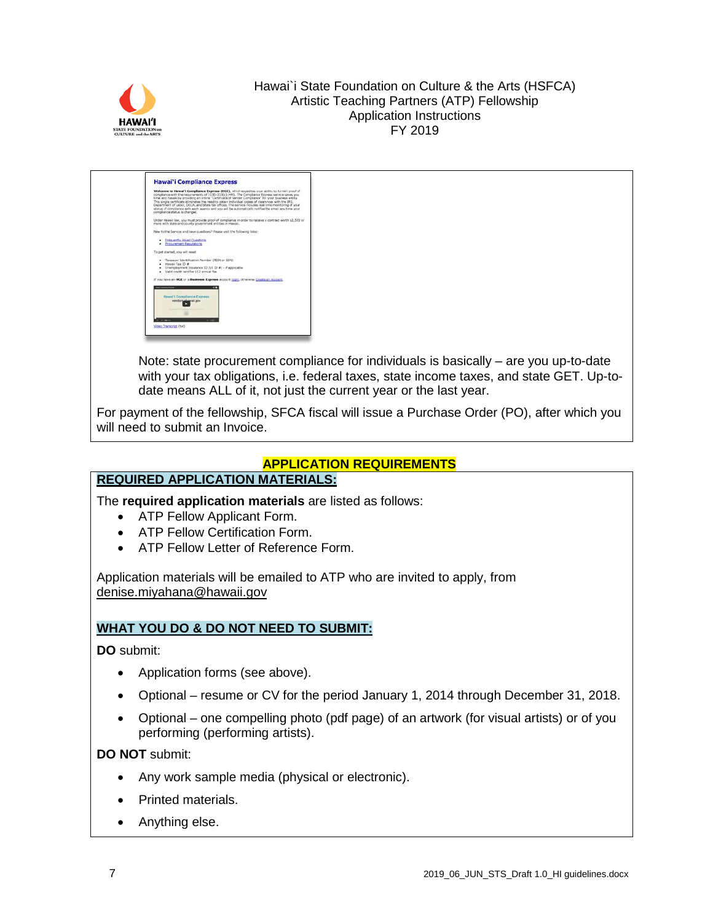



Note: state procurement compliance for individuals is basically – are you up-to-date with your tax obligations, i.e. federal taxes, state income taxes, and state GET. Up-todate means ALL of it, not just the current year or the last year.

For payment of the fellowship, SFCA fiscal will issue a Purchase Order (PO), after which you will need to submit an Invoice.

# **APPLICATION REQUIREMENTS**

# **REQUIRED APPLICATION MATERIALS:**

The **required application materials** are listed as follows:

- ATP Fellow Applicant Form.
- ATP Fellow Certification Form.
- ATP Fellow Letter of Reference Form.

Application materials will be emailed to ATP who are invited to apply, from [denise.miyahana@hawaii.gov](mailto:denise.miyahana@hawaii.gov)

# **WHAT YOU DO & DO NOT NEED TO SUBMIT:**

**DO** submit:

- Application forms (see above).
- Optional resume or CV for the period January 1, 2014 through December 31, 2018.
- Optional one compelling photo (pdf page) of an artwork (for visual artists) or of you performing (performing artists).

**DO NOT** submit:

- Any work sample media (physical or electronic).
- Printed materials.
- Anything else.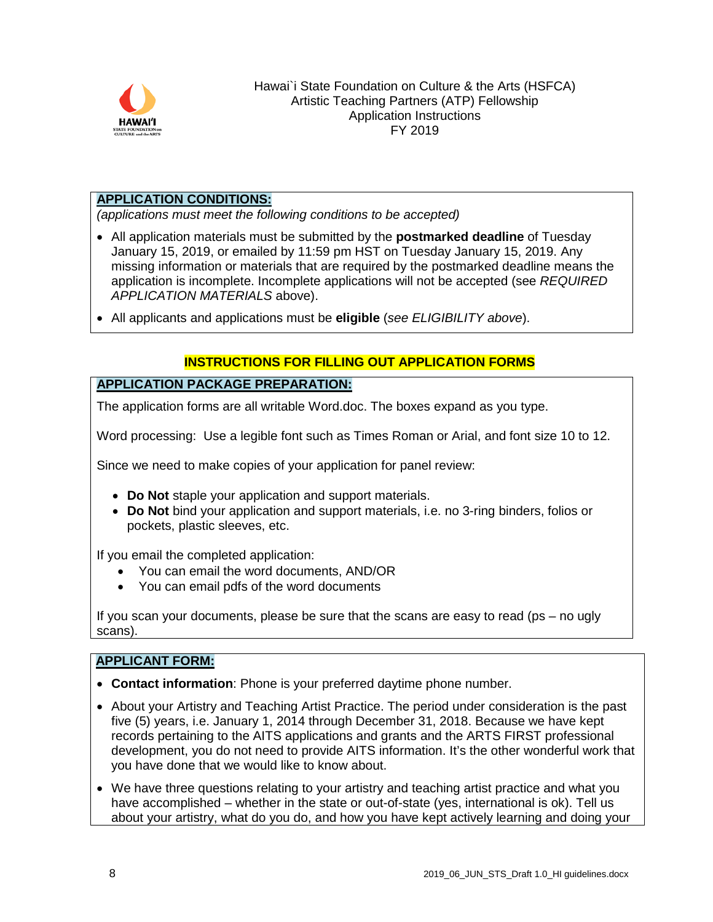

#### **APPLICATION CONDITIONS:**

*(applications must meet the following conditions to be accepted)*

- All application materials must be submitted by the **postmarked deadline** of Tuesday January 15, 2019, or emailed by 11:59 pm HST on Tuesday January 15, 2019. Any missing information or materials that are required by the postmarked deadline means the application is incomplete. Incomplete applications will not be accepted (see *REQUIRED APPLICATION MATERIALS* above).
- All applicants and applications must be **eligible** (*see ELIGIBILITY above*).

# **INSTRUCTIONS FOR FILLING OUT APPLICATION FORMS**

## **APPLICATION PACKAGE PREPARATION:**

The application forms are all writable Word.doc. The boxes expand as you type.

Word processing: Use a legible font such as Times Roman or Arial, and font size 10 to 12.

Since we need to make copies of your application for panel review:

- **Do Not** staple your application and support materials.
- **Do Not** bind your application and support materials, i.e. no 3-ring binders, folios or pockets, plastic sleeves, etc.

If you email the completed application:

- You can email the word documents, AND/OR
- You can email pdfs of the word documents

If you scan your documents, please be sure that the scans are easy to read (ps – no ugly scans).

## **APPLICANT FORM:**

- **Contact information**: Phone is your preferred daytime phone number.
- About your Artistry and Teaching Artist Practice. The period under consideration is the past five (5) years, i.e. January 1, 2014 through December 31, 2018. Because we have kept records pertaining to the AITS applications and grants and the ARTS FIRST professional development, you do not need to provide AITS information. It's the other wonderful work that you have done that we would like to know about.
- We have three questions relating to your artistry and teaching artist practice and what you have accomplished – whether in the state or out-of-state (yes, international is ok). Tell us about your artistry, what do you do, and how you have kept actively learning and doing your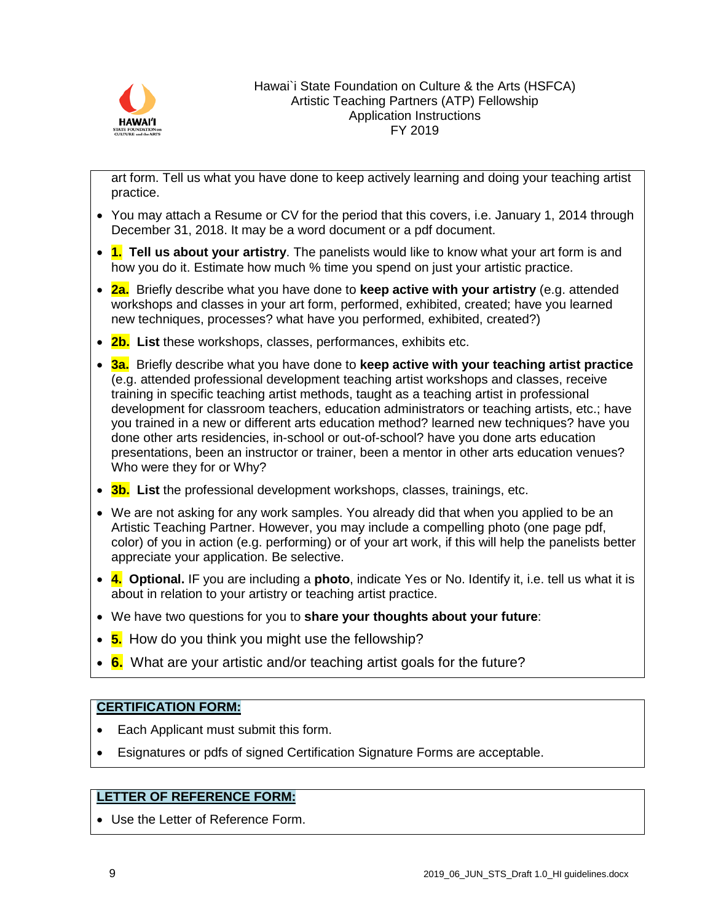

art form. Tell us what you have done to keep actively learning and doing your teaching artist practice.

- You may attach a Resume or CV for the period that this covers, i.e. January 1, 2014 through December 31, 2018. It may be a word document or a pdf document.
- **1. Tell us about your artistry**. The panelists would like to know what your art form is and how you do it. Estimate how much % time you spend on just your artistic practice.
- **2a.** Briefly describe what you have done to **keep active with your artistry** (e.g. attended workshops and classes in your art form, performed, exhibited, created; have you learned new techniques, processes? what have you performed, exhibited, created?)
- **2b. List** these workshops, classes, performances, exhibits etc.
- **3a.** Briefly describe what you have done to **keep active with your teaching artist practice** (e.g. attended professional development teaching artist workshops and classes, receive training in specific teaching artist methods, taught as a teaching artist in professional development for classroom teachers, education administrators or teaching artists, etc.; have you trained in a new or different arts education method? learned new techniques? have you done other arts residencies, in-school or out-of-school? have you done arts education presentations, been an instructor or trainer, been a mentor in other arts education venues? Who were they for or Why?
- **3b. List** the professional development workshops, classes, trainings, etc.
- We are not asking for any work samples. You already did that when you applied to be an Artistic Teaching Partner. However, you may include a compelling photo (one page pdf, color) of you in action (e.g. performing) or of your art work, if this will help the panelists better appreciate your application. Be selective.
- **4. Optional.** IF you are including a **photo**, indicate Yes or No. Identify it, i.e. tell us what it is about in relation to your artistry or teaching artist practice.
- We have two questions for you to **share your thoughts about your future**:
- **5.** How do you think you might use the fellowship?
- **6.** What are your artistic and/or teaching artist goals for the future?

# **CERTIFICATION FORM:**

- Each Applicant must submit this form.
- Esignatures or pdfs of signed Certification Signature Forms are acceptable.

# **LETTER OF REFERENCE FORM:**

• Use the Letter of Reference Form.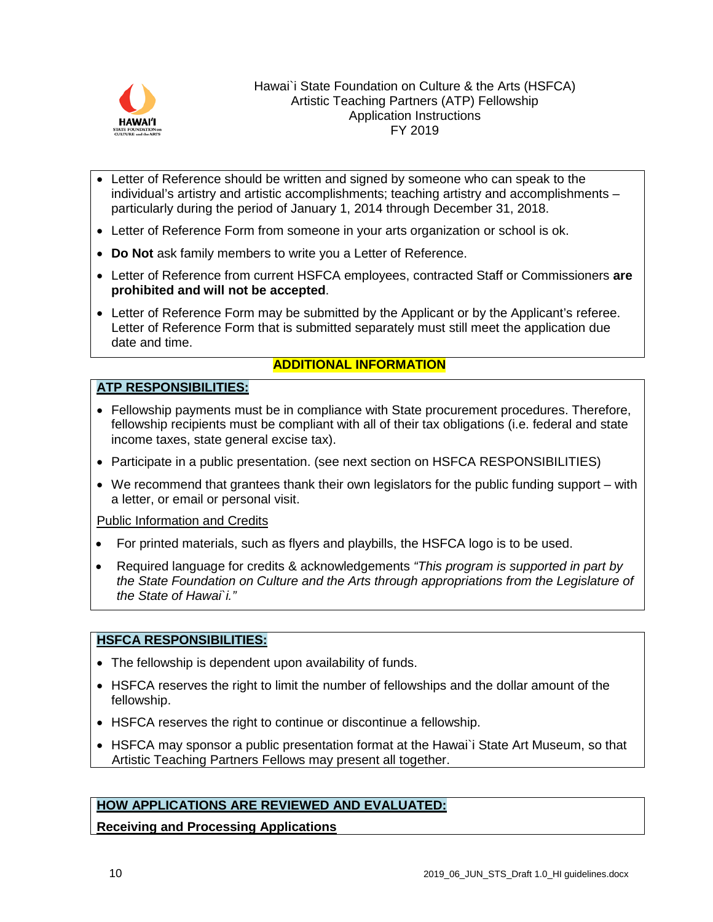

- Letter of Reference should be written and signed by someone who can speak to the individual's artistry and artistic accomplishments; teaching artistry and accomplishments – particularly during the period of January 1, 2014 through December 31, 2018.
- Letter of Reference Form from someone in your arts organization or school is ok.
- **Do Not** ask family members to write you a Letter of Reference.
- Letter of Reference from current HSFCA employees, contracted Staff or Commissioners **are prohibited and will not be accepted**.
- Letter of Reference Form may be submitted by the Applicant or by the Applicant's referee. Letter of Reference Form that is submitted separately must still meet the application due date and time.

# **ADDITIONAL INFORMATION**

#### **ATP RESPONSIBILITIES:**

- Fellowship payments must be in compliance with State procurement procedures. Therefore, fellowship recipients must be compliant with all of their tax obligations (i.e. federal and state income taxes, state general excise tax).
- Participate in a public presentation. (see next section on HSFCA RESPONSIBILITIES)
- We recommend that grantees thank their own legislators for the public funding support with a letter, or email or personal visit.

#### Public Information and Credits

- For printed materials, such as flyers and playbills, the HSFCA logo is to be used.
- Required language for credits & acknowledgements *"This program is supported in part by the State Foundation on Culture and the Arts through appropriations from the Legislature of the State of Hawai`i."*

#### **HSFCA RESPONSIBILITIES:**

- The fellowship is dependent upon availability of funds.
- HSFCA reserves the right to limit the number of fellowships and the dollar amount of the fellowship.
- HSFCA reserves the right to continue or discontinue a fellowship.
- HSFCA may sponsor a public presentation format at the Hawai`i State Art Museum, so that Artistic Teaching Partners Fellows may present all together.

#### **HOW APPLICATIONS ARE REVIEWED AND EVALUATED:**

**Receiving and Processing Applications**